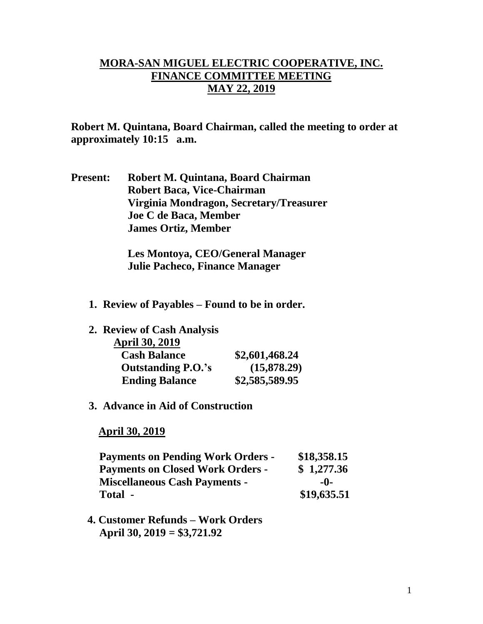## **MORA-SAN MIGUEL ELECTRIC COOPERATIVE, INC. FINANCE COMMITTEE MEETING MAY 22, 2019**

**Robert M. Quintana, Board Chairman, called the meeting to order at approximately 10:15 a.m.**

**Present: Robert M. Quintana, Board Chairman Robert Baca, Vice-Chairman Virginia Mondragon, Secretary/Treasurer Joe C de Baca, Member James Ortiz, Member**

> **Les Montoya, CEO/General Manager Julie Pacheco, Finance Manager**

- **1. Review of Payables – Found to be in order.**
- **2. Review of Cash Analysis**

| <b>April 30, 2019</b>     |                |
|---------------------------|----------------|
| <b>Cash Balance</b>       | \$2,601,468.24 |
| <b>Outstanding P.O.'s</b> | (15,878.29)    |
| <b>Ending Balance</b>     | \$2,585,589.95 |

**3. Advance in Aid of Construction**

 **April 30, 2019**

| <b>Payments on Pending Work Orders -</b> | \$18,358.15 |
|------------------------------------------|-------------|
| <b>Payments on Closed Work Orders -</b>  | \$1,277.36  |
| <b>Miscellaneous Cash Payments -</b>     | $-0-$       |
| Total -                                  | \$19,635.51 |

 **4. Customer Refunds – Work Orders April 30, 2019 = \$3,721.92**